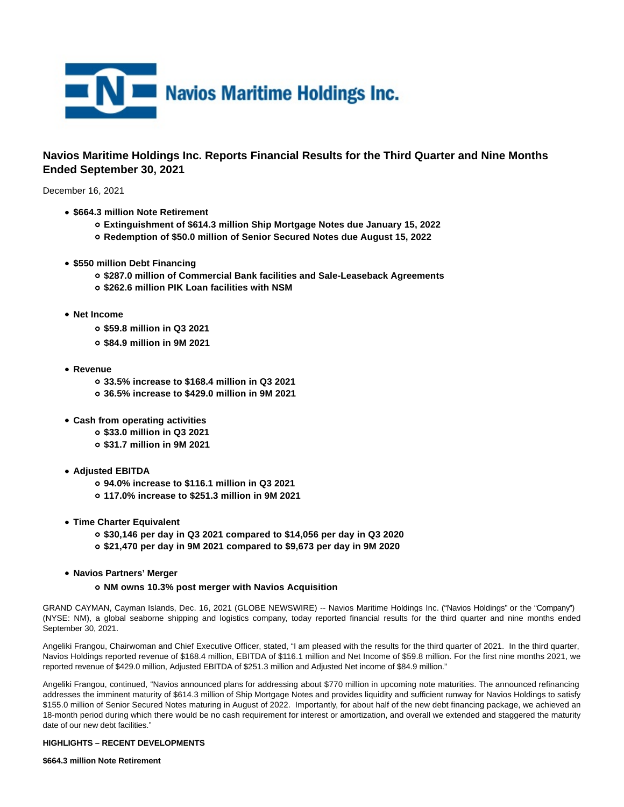

# **Navios Maritime Holdings Inc. Reports Financial Results for the Third Quarter and Nine Months Ended September 30, 2021**

December 16, 2021

- **\$664.3 million Note Retirement**
	- **Extinguishment of \$614.3 million Ship Mortgage Notes due January 15, 2022**
	- **Redemption of \$50.0 million of Senior Secured Notes due August 15, 2022**
- **\$550 million Debt Financing**
	- **\$287.0 million of Commercial Bank facilities and Sale-Leaseback Agreements**
	- **\$262.6 million PIK Loan facilities with NSM**
- **Net Income**
	- **\$59.8 million in Q3 2021**
	- **\$84.9 million in 9M 2021**
- **Revenue**
	- **33.5% increase to \$168.4 million in Q3 2021**
	- **36.5% increase to \$429.0 million in 9M 2021**
- **Cash from operating activities**
	- **\$33.0 million in Q3 2021**
	- **\$31.7 million in 9M 2021**
- **Adjusted EBITDA**
	- **94.0% increase to \$116.1 million in Q3 2021**
	- **117.0% increase to \$251.3 million in 9M 2021**
- **Time Charter Equivalent**
	- **\$30,146 per day in Q3 2021 compared to \$14,056 per day in Q3 2020**
	- **\$21,470 per day in 9M 2021 compared to \$9,673 per day in 9M 2020**
- **Navios Partners' Merger**

## **NM owns 10.3% post merger with Navios Acquisition**

GRAND CAYMAN, Cayman Islands, Dec. 16, 2021 (GLOBE NEWSWIRE) -- Navios Maritime Holdings Inc. ("Navios Holdings" or the "Company") (NYSE: NM), a global seaborne shipping and logistics company, today reported financial results for the third quarter and nine months ended September 30, 2021.

Angeliki Frangou, Chairwoman and Chief Executive Officer, stated, "I am pleased with the results for the third quarter of 2021. In the third quarter, Navios Holdings reported revenue of \$168.4 million, EBITDA of \$116.1 million and Net Income of \$59.8 million. For the first nine months 2021, we reported revenue of \$429.0 million, Adjusted EBITDA of \$251.3 million and Adjusted Net income of \$84.9 million."

Angeliki Frangou, continued, "Navios announced plans for addressing about \$770 million in upcoming note maturities. The announced refinancing addresses the imminent maturity of \$614.3 million of Ship Mortgage Notes and provides liquidity and sufficient runway for Navios Holdings to satisfy \$155.0 million of Senior Secured Notes maturing in August of 2022. Importantly, for about half of the new debt financing package, we achieved an 18-month period during which there would be no cash requirement for interest or amortization, and overall we extended and staggered the maturity date of our new debt facilities."

## **HIGHLIGHTS – RECENT DEVELOPMENTS**

**\$664.3 million Note Retirement**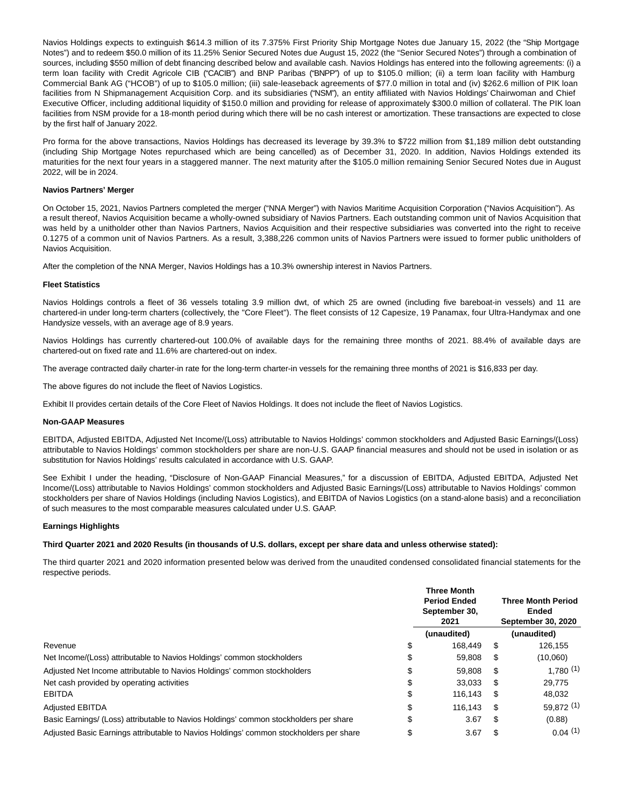Navios Holdings expects to extinguish \$614.3 million of its 7.375% First Priority Ship Mortgage Notes due January 15, 2022 (the "Ship Mortgage Notes") and to redeem \$50.0 million of its 11.25% Senior Secured Notes due August 15, 2022 (the "Senior Secured Notes") through a combination of sources, including \$550 million of debt financing described below and available cash. Navios Holdings has entered into the following agreements: (i) a term loan facility with Credit Agricole CIB ("CACIB") and BNP Paribas ("BNPP") of up to \$105.0 million; (ii) a term loan facility with Hamburg Commercial Bank AG ("HCOB") of up to \$105.0 million; (iii) sale-leaseback agreements of \$77.0 million in total and (iv) \$262.6 million of PIK loan facilities from N Shipmanagement Acquisition Corp. and its subsidiaries ("NSM"), an entity affiliated with Navios Holdings' Chairwoman and Chief Executive Officer, including additional liquidity of \$150.0 million and providing for release of approximately \$300.0 million of collateral. The PIK loan facilities from NSM provide for a 18-month period during which there will be no cash interest or amortization. These transactions are expected to close by the first half of January 2022.

Pro forma for the above transactions, Navios Holdings has decreased its leverage by 39.3% to \$722 million from \$1,189 million debt outstanding (including Ship Mortgage Notes repurchased which are being cancelled) as of December 31, 2020. In addition, Navios Holdings extended its maturities for the next four years in a staggered manner. The next maturity after the \$105.0 million remaining Senior Secured Notes due in August 2022, will be in 2024.

### **Navios Partners' Merger**

On October 15, 2021, Navios Partners completed the merger ("NNA Merger") with Navios Maritime Acquisition Corporation ("Navios Acquisition"). As a result thereof, Navios Acquisition became a wholly-owned subsidiary of Navios Partners. Each outstanding common unit of Navios Acquisition that was held by a unitholder other than Navios Partners, Navios Acquisition and their respective subsidiaries was converted into the right to receive 0.1275 of a common unit of Navios Partners. As a result, 3,388,226 common units of Navios Partners were issued to former public unitholders of Navios Acquisition.

After the completion of the NNA Merger, Navios Holdings has a 10.3% ownership interest in Navios Partners.

#### **Fleet Statistics**

Navios Holdings controls a fleet of 36 vessels totaling 3.9 million dwt, of which 25 are owned (including five bareboat-in vessels) and 11 are chartered-in under long-term charters (collectively, the "Core Fleet"). The fleet consists of 12 Capesize, 19 Panamax, four Ultra-Handymax and one Handysize vessels, with an average age of 8.9 years.

Navios Holdings has currently chartered-out 100.0% of available days for the remaining three months of 2021. 88.4% of available days are chartered-out on fixed rate and 11.6% are chartered-out on index.

The average contracted daily charter-in rate for the long-term charter-in vessels for the remaining three months of 2021 is \$16,833 per day.

The above figures do not include the fleet of Navios Logistics.

Exhibit II provides certain details of the Core Fleet of Navios Holdings. It does not include the fleet of Navios Logistics.

#### **Non-GAAP Measures**

EBITDA, Adjusted EBITDA, Adjusted Net Income/(Loss) attributable to Navios Holdings' common stockholders and Adjusted Basic Earnings/(Loss) attributable to Navios Holdings' common stockholders per share are non-U.S. GAAP financial measures and should not be used in isolation or as substitution for Navios Holdings' results calculated in accordance with U.S. GAAP.

See Exhibit I under the heading, "Disclosure of Non-GAAP Financial Measures," for a discussion of EBITDA, Adjusted EBITDA, Adjusted Net Income/(Loss) attributable to Navios Holdings' common stockholders and Adjusted Basic Earnings/(Loss) attributable to Navios Holdings' common stockholders per share of Navios Holdings (including Navios Logistics), and EBITDA of Navios Logistics (on a stand-alone basis) and a reconciliation of such measures to the most comparable measures calculated under U.S. GAAP.

### **Earnings Highlights**

### **Third Quarter 2021 and 2020 Results (in thousands of U.S. dollars, except per share data and unless otherwise stated):**

The third quarter 2021 and 2020 information presented below was derived from the unaudited condensed consolidated financial statements for the respective periods.

|                                                                                        |    | <b>Three Month</b><br><b>Period Ended</b><br>September 30,<br>2021 | <b>Three Month Period</b><br>Ended<br>September 30, 2020 |             |  |
|----------------------------------------------------------------------------------------|----|--------------------------------------------------------------------|----------------------------------------------------------|-------------|--|
|                                                                                        |    | (unaudited)                                                        |                                                          | (unaudited) |  |
| Revenue                                                                                |    | 168.449                                                            | S                                                        | 126.155     |  |
| Net Income/(Loss) attributable to Navios Holdings' common stockholders                 |    | 59.808                                                             | S                                                        | (10,060)    |  |
| Adjusted Net Income attributable to Navios Holdings' common stockholders               | \$ | 59.808                                                             | S                                                        | 1,780(1)    |  |
| Net cash provided by operating activities                                              |    | 33.033                                                             | S                                                        | 29,775      |  |
| <b>EBITDA</b>                                                                          |    | 116.143                                                            |                                                          | 48,032      |  |
| <b>Adjusted EBITDA</b>                                                                 | \$ | 116.143                                                            | S                                                        | 59,872(1)   |  |
| Basic Earnings/ (Loss) attributable to Navios Holdings' common stockholders per share  | \$ | 3.67                                                               | SS.                                                      | (0.88)      |  |
| Adjusted Basic Earnings attributable to Navios Holdings' common stockholders per share |    | 3.67                                                               |                                                          | 0.04(1)     |  |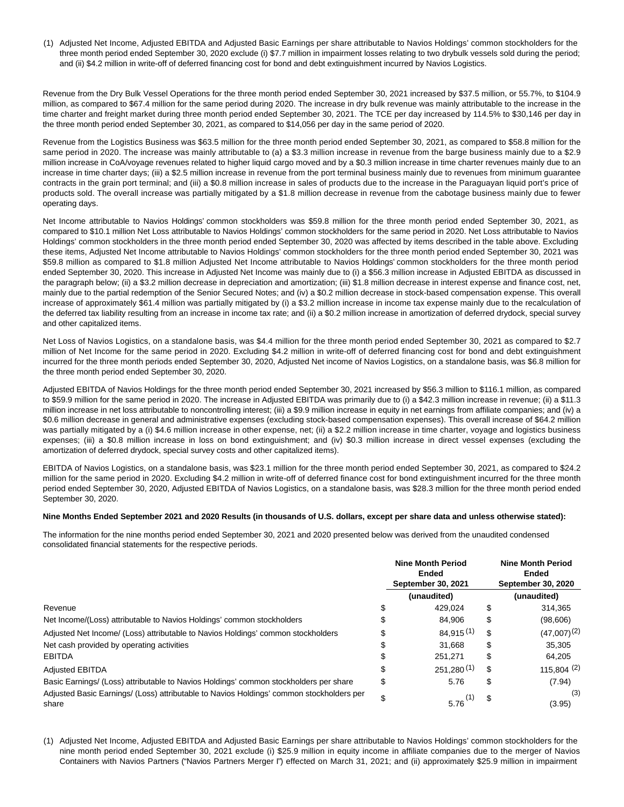(1) Adjusted Net Income, Adjusted EBITDA and Adjusted Basic Earnings per share attributable to Navios Holdings' common stockholders for the three month period ended September 30, 2020 exclude (i) \$7.7 million in impairment losses relating to two drybulk vessels sold during the period; and (ii) \$4.2 million in write-off of deferred financing cost for bond and debt extinguishment incurred by Navios Logistics.

Revenue from the Dry Bulk Vessel Operations for the three month period ended September 30, 2021 increased by \$37.5 million, or 55.7%, to \$104.9 million, as compared to \$67.4 million for the same period during 2020. The increase in dry bulk revenue was mainly attributable to the increase in the time charter and freight market during three month period ended September 30, 2021. The TCE per day increased by 114.5% to \$30,146 per day in the three month period ended September 30, 2021, as compared to \$14,056 per day in the same period of 2020.

Revenue from the Logistics Business was \$63.5 million for the three month period ended September 30, 2021, as compared to \$58.8 million for the same period in 2020. The increase was mainly attributable to (a) a \$3.3 million increase in revenue from the barge business mainly due to a \$2.9 million increase in CoA/voyage revenues related to higher liquid cargo moved and by a \$0.3 million increase in time charter revenues mainly due to an increase in time charter days; (iii) a \$2.5 million increase in revenue from the port terminal business mainly due to revenues from minimum guarantee contracts in the grain port terminal; and (iii) a \$0.8 million increase in sales of products due to the increase in the Paraguayan liquid port's price of products sold. The overall increase was partially mitigated by a \$1.8 million decrease in revenue from the cabotage business mainly due to fewer operating days.

Net Income attributable to Navios Holdings' common stockholders was \$59.8 million for the three month period ended September 30, 2021, as compared to \$10.1 million Net Loss attributable to Navios Holdings' common stockholders for the same period in 2020. Net Loss attributable to Navios Holdings' common stockholders in the three month period ended September 30, 2020 was affected by items described in the table above. Excluding these items, Adjusted Net Income attributable to Navios Holdings' common stockholders for the three month period ended September 30, 2021 was \$59.8 million as compared to \$1.8 million Adjusted Net Income attributable to Navios Holdings' common stockholders for the three month period ended September 30, 2020. This increase in Adjusted Net Income was mainly due to (i) a \$56.3 million increase in Adjusted EBITDA as discussed in the paragraph below; (ii) a \$3.2 million decrease in depreciation and amortization; (iii) \$1.8 million decrease in interest expense and finance cost, net, mainly due to the partial redemption of the Senior Secured Notes; and (iv) a \$0.2 million decrease in stock-based compensation expense. This overall increase of approximately \$61.4 million was partially mitigated by (i) a \$3.2 million increase in income tax expense mainly due to the recalculation of the deferred tax liability resulting from an increase in income tax rate; and (ii) a \$0.2 million increase in amortization of deferred drydock, special survey and other capitalized items.

Net Loss of Navios Logistics, on a standalone basis, was \$4.4 million for the three month period ended September 30, 2021 as compared to \$2.7 million of Net Income for the same period in 2020. Excluding \$4.2 million in write-off of deferred financing cost for bond and debt extinguishment incurred for the three month periods ended September 30, 2020, Adjusted Net income of Navios Logistics, on a standalone basis, was \$6.8 million for the three month period ended September 30, 2020.

Adjusted EBITDA of Navios Holdings for the three month period ended September 30, 2021 increased by \$56.3 million to \$116.1 million, as compared to \$59.9 million for the same period in 2020. The increase in Adjusted EBITDA was primarily due to (i) a \$42.3 million increase in revenue; (ii) a \$11.3 million increase in net loss attributable to noncontrolling interest; (iii) a \$9.9 million increase in equity in net earnings from affiliate companies; and (iv) a \$0.6 million decrease in general and administrative expenses (excluding stock-based compensation expenses). This overall increase of \$64.2 million was partially mitigated by a (i) \$4.6 million increase in other expense, net; (ii) a \$2.2 million increase in time charter, voyage and logistics business expenses; (iii) a \$0.8 million increase in loss on bond extinguishment; and (iv) \$0.3 million increase in direct vessel expenses (excluding the amortization of deferred drydock, special survey costs and other capitalized items).

EBITDA of Navios Logistics, on a standalone basis, was \$23.1 million for the three month period ended September 30, 2021, as compared to \$24.2 million for the same period in 2020. Excluding \$4.2 million in write-off of deferred finance cost for bond extinguishment incurred for the three month period ended September 30, 2020, Adjusted EBITDA of Navios Logistics, on a standalone basis, was \$28.3 million for the three month period ended September 30, 2020.

## **Nine Months Ended September 2021 and 2020 Results (in thousands of U.S. dollars, except per share data and unless otherwise stated):**

The information for the nine months period ended September 30, 2021 and 2020 presented below was derived from the unaudited condensed consolidated financial statements for the respective periods.

|                                                                                                   | <b>Nine Month Period</b><br>Ended<br>September 30, 2021 |             | <b>Nine Month Period</b><br>Ended<br><b>September 30, 2020</b> |
|---------------------------------------------------------------------------------------------------|---------------------------------------------------------|-------------|----------------------------------------------------------------|
|                                                                                                   |                                                         | (unaudited) | (unaudited)                                                    |
| Revenue                                                                                           |                                                         | 429.024     | \$<br>314,365                                                  |
| Net Income/(Loss) attributable to Navios Holdings' common stockholders                            |                                                         | 84.906      | \$<br>(98,606)                                                 |
| Adjusted Net Income/ (Loss) attributable to Navios Holdings' common stockholders                  |                                                         | 84,915(1)   | \$<br>$(47,007)^{(2)}$                                         |
| Net cash provided by operating activities                                                         |                                                         | 31.668      | \$<br>35.305                                                   |
| <b>EBITDA</b>                                                                                     |                                                         | 251.271     | \$<br>64.205                                                   |
| <b>Adjusted EBITDA</b>                                                                            |                                                         | 251.280(1)  | \$<br>115,804 $(2)$                                            |
| Basic Earnings/ (Loss) attributable to Navios Holdings' common stockholders per share             | S                                                       | 5.76        | \$<br>(7.94)                                                   |
| Adjusted Basic Earnings/ (Loss) attributable to Navios Holdings' common stockholders per<br>share | \$                                                      | (1)<br>5.76 | \$<br>(3)<br>(3.95)                                            |

(1) Adjusted Net Income, Adjusted EBITDA and Adjusted Basic Earnings per share attributable to Navios Holdings' common stockholders for the nine month period ended September 30, 2021 exclude (i) \$25.9 million in equity income in affiliate companies due to the merger of Navios Containers with Navios Partners ("Navios Partners Merger I") effected on March 31, 2021; and (ii) approximately \$25.9 million in impairment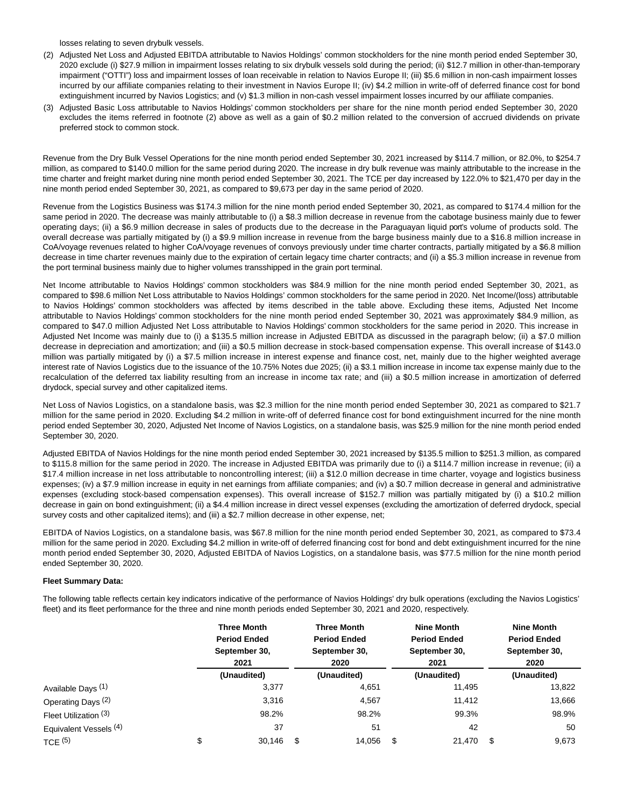losses relating to seven drybulk vessels.

- (2) Adjusted Net Loss and Adjusted EBITDA attributable to Navios Holdings' common stockholders for the nine month period ended September 30, 2020 exclude (i) \$27.9 million in impairment losses relating to six drybulk vessels sold during the period; (ii) \$12.7 million in other-than-temporary impairment ("OTTI") loss and impairment losses of loan receivable in relation to Navios Europe II; (iii) \$5.6 million in non-cash impairment losses incurred by our affiliate companies relating to their investment in Navios Europe II; (iv) \$4.2 million in write-off of deferred finance cost for bond extinguishment incurred by Navios Logistics; and (v) \$1.3 million in non-cash vessel impairment losses incurred by our affiliate companies.
- (3) Adjusted Basic Loss attributable to Navios Holdings' common stockholders per share for the nine month period ended September 30, 2020 excludes the items referred in footnote (2) above as well as a gain of \$0.2 million related to the conversion of accrued dividends on private preferred stock to common stock.

Revenue from the Dry Bulk Vessel Operations for the nine month period ended September 30, 2021 increased by \$114.7 million, or 82.0%, to \$254.7 million, as compared to \$140.0 million for the same period during 2020. The increase in dry bulk revenue was mainly attributable to the increase in the time charter and freight market during nine month period ended September 30, 2021. The TCE per day increased by 122.0% to \$21,470 per day in the nine month period ended September 30, 2021, as compared to \$9,673 per day in the same period of 2020.

Revenue from the Logistics Business was \$174.3 million for the nine month period ended September 30, 2021, as compared to \$174.4 million for the same period in 2020. The decrease was mainly attributable to (i) a \$8.3 million decrease in revenue from the cabotage business mainly due to fewer operating days; (ii) a \$6.9 million decrease in sales of products due to the decrease in the Paraguayan liquid port's volume of products sold. The overall decrease was partially mitigated by (i) a \$9.9 million increase in revenue from the barge business mainly due to a \$16.8 million increase in CoA/voyage revenues related to higher CoA/voyage revenues of convoys previously under time charter contracts, partially mitigated by a \$6.8 million decrease in time charter revenues mainly due to the expiration of certain legacy time charter contracts; and (ii) a \$5.3 million increase in revenue from the port terminal business mainly due to higher volumes transshipped in the grain port terminal.

Net Income attributable to Navios Holdings' common stockholders was \$84.9 million for the nine month period ended September 30, 2021, as compared to \$98.6 million Net Loss attributable to Navios Holdings' common stockholders for the same period in 2020. Net Income/(loss) attributable to Navios Holdings' common stockholders was affected by items described in the table above. Excluding these items, Adjusted Net Income attributable to Navios Holdings' common stockholders for the nine month period ended September 30, 2021 was approximately \$84.9 million, as compared to \$47.0 million Adjusted Net Loss attributable to Navios Holdings' common stockholders for the same period in 2020. This increase in Adjusted Net Income was mainly due to (i) a \$135.5 million increase in Adjusted EBITDA as discussed in the paragraph below; (ii) a \$7.0 million decrease in depreciation and amortization; and (iii) a \$0.5 million decrease in stock-based compensation expense. This overall increase of \$143.0 million was partially mitigated by (i) a \$7.5 million increase in interest expense and finance cost, net, mainly due to the higher weighted average interest rate of Navios Logistics due to the issuance of the 10.75% Notes due 2025; (ii) a \$3.1 million increase in income tax expense mainly due to the recalculation of the deferred tax liability resulting from an increase in income tax rate; and (iii) a \$0.5 million increase in amortization of deferred drydock, special survey and other capitalized items.

Net Loss of Navios Logistics, on a standalone basis, was \$2.3 million for the nine month period ended September 30, 2021 as compared to \$21.7 million for the same period in 2020. Excluding \$4.2 million in write-off of deferred finance cost for bond extinguishment incurred for the nine month period ended September 30, 2020, Adjusted Net Income of Navios Logistics, on a standalone basis, was \$25.9 million for the nine month period ended September 30, 2020.

Adjusted EBITDA of Navios Holdings for the nine month period ended September 30, 2021 increased by \$135.5 million to \$251.3 million, as compared to \$115.8 million for the same period in 2020. The increase in Adjusted EBITDA was primarily due to (i) a \$114.7 million increase in revenue; (ii) a \$17.4 million increase in net loss attributable to noncontrolling interest; (iii) a \$12.0 million decrease in time charter, voyage and logistics business expenses; (iv) a \$7.9 million increase in equity in net earnings from affiliate companies; and (iv) a \$0.7 million decrease in general and administrative expenses (excluding stock-based compensation expenses). This overall increase of \$152.7 million was partially mitigated by (i) a \$10.2 million decrease in gain on bond extinguishment; (ii) a \$4.4 million increase in direct vessel expenses (excluding the amortization of deferred drydock, special survey costs and other capitalized items); and (iii) a \$2.7 million decrease in other expense, net;

EBITDA of Navios Logistics, on a standalone basis, was \$67.8 million for the nine month period ended September 30, 2021, as compared to \$73.4 million for the same period in 2020. Excluding \$4.2 million in write-off of deferred financing cost for bond and debt extinguishment incurred for the nine month period ended September 30, 2020, Adjusted EBITDA of Navios Logistics, on a standalone basis, was \$77.5 million for the nine month period ended September 30, 2020.

### **Fleet Summary Data:**

The following table reflects certain key indicators indicative of the performance of Navios Holdings' dry bulk operations (excluding the Navios Logistics' fleet) and its fleet performance for the three and nine month periods ended September 30, 2021 and 2020, respectively.

|                               | <b>Three Month</b><br><b>Three Month</b><br><b>Period Ended</b><br><b>Period Ended</b><br>September 30,<br>September 30,<br>2020<br>2021 |             | <b>Nine Month</b><br><b>Period Ended</b><br>September 30,<br>2021 |     |             | <b>Nine Month</b><br><b>Period Ended</b><br>September 30,<br>2020 |             |  |
|-------------------------------|------------------------------------------------------------------------------------------------------------------------------------------|-------------|-------------------------------------------------------------------|-----|-------------|-------------------------------------------------------------------|-------------|--|
|                               |                                                                                                                                          | (Unaudited) | (Unaudited)                                                       |     | (Unaudited) |                                                                   | (Unaudited) |  |
| Available Days <sup>(1)</sup> |                                                                                                                                          | 3,377       | 4,651                                                             |     | 11,495      |                                                                   | 13,822      |  |
| Operating Days <sup>(2)</sup> |                                                                                                                                          | 3.316       | 4,567                                                             |     | 11.412      |                                                                   | 13,666      |  |
| Fleet Utilization (3)         |                                                                                                                                          | 98.2%       | 98.2%                                                             |     | 99.3%       |                                                                   | 98.9%       |  |
| Equivalent Vessels (4)        |                                                                                                                                          | 37          | 51                                                                |     | 42          |                                                                   | 50          |  |
| TCE $(5)$                     | \$                                                                                                                                       | 30,146      | \$<br>14,056                                                      | \$. | 21,470      | \$                                                                | 9,673       |  |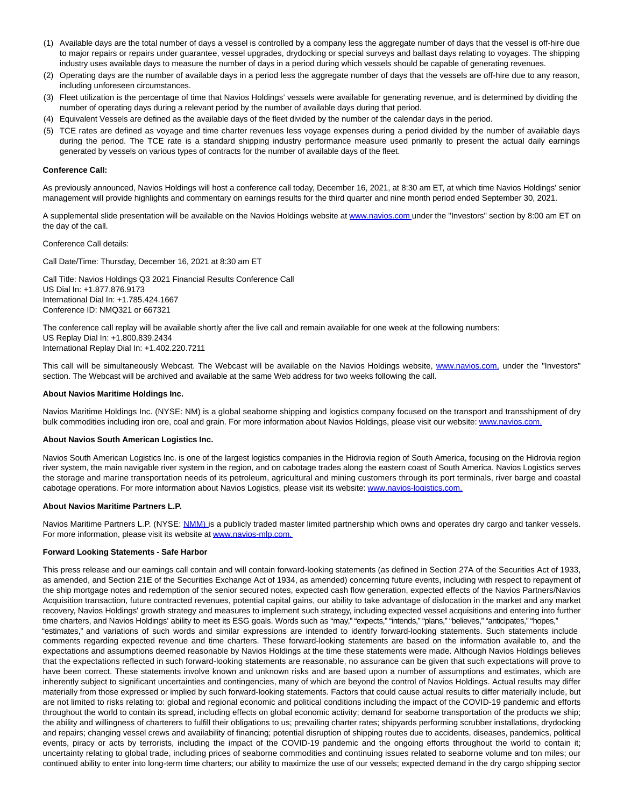- (1) Available days are the total number of days a vessel is controlled by a company less the aggregate number of days that the vessel is off-hire due to major repairs or repairs under guarantee, vessel upgrades, drydocking or special surveys and ballast days relating to voyages. The shipping industry uses available days to measure the number of days in a period during which vessels should be capable of generating revenues.
- (2) Operating days are the number of available days in a period less the aggregate number of days that the vessels are off-hire due to any reason, including unforeseen circumstances.
- (3) Fleet utilization is the percentage of time that Navios Holdings' vessels were available for generating revenue, and is determined by dividing the number of operating days during a relevant period by the number of available days during that period.
- (4) Equivalent Vessels are defined as the available days of the fleet divided by the number of the calendar days in the period.
- (5) TCE rates are defined as voyage and time charter revenues less voyage expenses during a period divided by the number of available days during the period. The TCE rate is a standard shipping industry performance measure used primarily to present the actual daily earnings generated by vessels on various types of contracts for the number of available days of the fleet.

### **Conference Call:**

As previously announced, Navios Holdings will host a conference call today, December 16, 2021, at 8:30 am ET, at which time Navios Holdings' senior management will provide highlights and commentary on earnings results for the third quarter and nine month period ended September 30, 2021.

A supplemental slide presentation will be available on the Navios Holdings website at [www.navios.com](https://www.globenewswire.com/Tracker?data=IAEp3gwPA_DdR6hNvkFIXI7yleIcIr74rZhk-vpdDlwV6WPOjSr9p013xBWorG_7VoC-wHjn9OMqE_zrMWx9FcThnQBCnTxB-lqEHQFZM0ZjcnJVGpaRHbsSmcoSuP_youkwC5O0h5nPep8X1MOpcQt530K4i5nyyPUs7eUF8AJ1q_05erwLJ03PGi-ALO7p2lkf7tznuWhw1XhzRRFihZ7T3h9KMwsx9P4abVrPPKXL4rliBAcauVMY1PhBsijI) under the "Investors" section by 8:00 am ET on the day of the call.

#### Conference Call details:

Call Date/Time: Thursday, December 16, 2021 at 8:30 am ET

Call Title: Navios Holdings Q3 2021 Financial Results Conference Call US Dial In: +1.877.876.9173 International Dial In: +1.785.424.1667 Conference ID: NMQ321 or 667321

The conference call replay will be available shortly after the live call and remain available for one week at the following numbers: US Replay Dial In: +1.800.839.2434 International Replay Dial In: +1.402.220.7211

This call will be simultaneously Webcast. The Webcast will be available on the Navios Holdings website, [www.navios.com,](https://www.globenewswire.com/Tracker?data=IAEp3gwPA_DdR6hNvkFIXOj6_hIvq1LrVDkE3vwtPSxL6azgDgPCUoX8Y_CCSESK0JGpcbOgCvXgeuKM8WJtg1UBnnExquUp7wcKvmo_aeHNXnmU2yDWoEHGoaL0fUqC75IMS1c01KuvJzVkiWzEumPCcPbG65BSnfJo2Rz97_lQyjKsU7O-GVHY0y0AO3MQ2tSxhSshrOpMMu95DtLLmg0xrtixomWQ_ilDwLlrK8FBy7qG29RWdeIRJgDIlDDe) under the "Investors" section. The Webcast will be archived and available at the same Web address for two weeks following the call.

#### **About Navios Maritime Holdings Inc.**

Navios Maritime Holdings Inc. (NYSE: NM) is a global seaborne shipping and logistics company focused on the transport and transshipment of dry bulk commodities including iron ore, coal and grain. For more information about Navios Holdings, please visit our website[: www.navios.com.](https://www.globenewswire.com/Tracker?data=IAEp3gwPA_DdR6hNvkFIXKx6SIAu7Q4OyuEEI45bt7SMArVYzgx8FL2p24DyCjf5hdb80lGcskC--J0PFx3sXQ18Kz9M7Ae2mR-OGsBqq-pEYgLPs0Sh8zuAVdkWOvag3TrLwGqYZ51VMrUspvljP4pav6jUvbZXlxaLTIHvT_8EaduOnz6b6vZAhOwG1Wf91kSWar5aNBRYVBMRnkaxPOeVNH6vxG1tMp7gPH4Fl7LQ0ssl4z4uC1WvMDKECNB1)

#### **About Navios South American Logistics Inc.**

Navios South American Logistics Inc. is one of the largest logistics companies in the Hidrovia region of South America, focusing on the Hidrovia region river system, the main navigable river system in the region, and on cabotage trades along the eastern coast of South America. Navios Logistics serves the storage and marine transportation needs of its petroleum, agricultural and mining customers through its port terminals, river barge and coastal cabotage operations. For more information about Navios Logistics, please visit its website: [www.navios-logistics.com.](https://www.globenewswire.com/Tracker?data=IAEp3gwPA_DdR6hNvkFIXF2x2Wd2IpbHnY2YHh39TfPD2erbhQ0-aAU_0teSK9fP6cGg1y0OhioRgIlmO_M9cgHyi7mNWLiwDewaUHhI5wLIS6ar5uEFfVpOolNDlezKrx2cAx3WWW9SVTQiZhESVhP9D7r_BYyXMArZSzqRSygRf_QQUf1GPQZqcXHS0msBYQj7dMCApRG482bLZfyBSXJ8Iw28xXnKon98KGNGOQgJ--hkxQ_EfONy6W8qDUOHSxvy53Tmdx5h4aHh6VfApg==)

#### **About Navios Maritime Partners L.P.**

Navios Maritime Partners L.P. (NYSE: [NMM\) is](https://www.globenewswire.com/Tracker?data=ZdzfXwDuhrNPZmpicEaPH37ePZURbVj_jbrkcpULHdyP56ioQKqIgat5hLEe7utQg5wsYLq9nZFopDqXxryGaorgO0j4o4d4jDjLc7CfyTBGtvi_k-TN88EU48HyIyvTfQGDY211TRVSMQ6n8SY148-rkMZFfxFa4V-KKAcQ5eqt6WgNQcHX3kjeOGt_Nlo5dYPl1h0tH57m8_NwLYRlZj5OI0ymmAT7TOUzQGughO9iv9ssqtszNcTGkyCHWgA0) a publicly traded master limited partnership which owns and operates dry cargo and tanker vessels. For more information, please visit its website a[t www.navios-mlp.com.](https://www.globenewswire.com/Tracker?data=IAEp3gwPA_DdR6hNvkFIXAjbzY4TSlGvoZ6mCccpsCuwWlFi6GRJmqlhp6juFLn_BPNvO4FxIjwKjv-dfCJpgY4cyw_jpebNeBdo7JgZocaYFwwWyqPN9DOsjbM3Ilb2qw-SxM4gI_aH3juP9Ixet2-8T_o9Yemf1ThdVKFiBB2ZUE0iHlGB-rtlHEMCe7IpJmCBhr1QsyZuECTMBitzNwZmK1DoSa7kr8UlZbpp2RLG1rDV3NIL9ZgRX48b-JZ23HIHqMCELMve3SeyhSmEgs9004N56wqzePrT5JcXOz5FAk4lXKMj81mtoltqbrozYEuJBZ0fek4kGUgd3ruksmOAcq8gWy6YIAvDi4oNfdxW1wtVPZfVLfq5gdsbquGHHW9N2Z0nL8HJBHtOoGEKjrcyQrDZW_5OyqlxiXHGAiRO9Tw8q9t5Xb9nqlTLrCTSflORT3im2B0BRO9QwI5cb5FdRGBc51HrelvbTmaBsn3eSMVcWrdYhb7v1thuQKwX)

#### **Forward Looking Statements - Safe Harbor**

This press release and our earnings call contain and will contain forward-looking statements (as defined in Section 27A of the Securities Act of 1933, as amended, and Section 21E of the Securities Exchange Act of 1934, as amended) concerning future events, including with respect to repayment of the ship mortgage notes and redemption of the senior secured notes, expected cash flow generation, expected effects of the Navios Partners/Navios Acquisition transaction, future contracted revenues, potential capital gains, our ability to take advantage of dislocation in the market and any market recovery, Navios Holdings' growth strategy and measures to implement such strategy, including expected vessel acquisitions and entering into further time charters, and Navios Holdings' ability to meet its ESG goals. Words such as "may," "expects," "intends," "plans," "believes," anticipates," "hopes," "estimates," and variations of such words and similar expressions are intended to identify forward-looking statements. Such statements include comments regarding expected revenue and time charters. These forward-looking statements are based on the information available to, and the expectations and assumptions deemed reasonable by Navios Holdings at the time these statements were made. Although Navios Holdings believes that the expectations reflected in such forward-looking statements are reasonable, no assurance can be given that such expectations will prove to have been correct. These statements involve known and unknown risks and are based upon a number of assumptions and estimates, which are inherently subject to significant uncertainties and contingencies, many of which are beyond the control of Navios Holdings. Actual results may differ materially from those expressed or implied by such forward-looking statements. Factors that could cause actual results to differ materially include, but are not limited to risks relating to: global and regional economic and political conditions including the impact of the COVID-19 pandemic and efforts throughout the world to contain its spread, including effects on global economic activity; demand for seaborne transportation of the products we ship; the ability and willingness of charterers to fulfill their obligations to us; prevailing charter rates; shipyards performing scrubber installations, drydocking and repairs; changing vessel crews and availability of financing; potential disruption of shipping routes due to accidents, diseases, pandemics, political events, piracy or acts by terrorists, including the impact of the COVID-19 pandemic and the ongoing efforts throughout the world to contain it; uncertainty relating to global trade, including prices of seaborne commodities and continuing issues related to seaborne volume and ton miles; our continued ability to enter into long-term time charters; our ability to maximize the use of our vessels; expected demand in the dry cargo shipping sector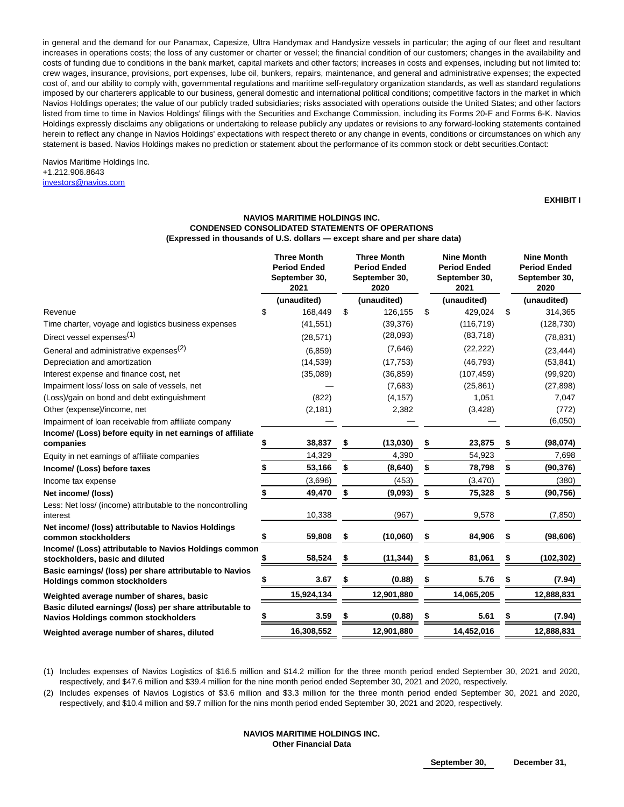in general and the demand for our Panamax, Capesize, Ultra Handymax and Handysize vessels in particular; the aging of our fleet and resultant increases in operations costs; the loss of any customer or charter or vessel; the financial condition of our customers; changes in the availability and costs of funding due to conditions in the bank market, capital markets and other factors; increases in costs and expenses, including but not limited to: crew wages, insurance, provisions, port expenses, lube oil, bunkers, repairs, maintenance, and general and administrative expenses; the expected cost of, and our ability to comply with, governmental regulations and maritime self-regulatory organization standards, as well as standard regulations imposed by our charterers applicable to our business, general domestic and international political conditions; competitive factors in the market in which Navios Holdings operates; the value of our publicly traded subsidiaries; risks associated with operations outside the United States; and other factors listed from time to time in Navios Holdings' filings with the Securities and Exchange Commission, including its Forms 20-F and Forms 6-K. Navios Holdings expressly disclaims any obligations or undertaking to release publicly any updates or revisions to any forward-looking statements contained herein to reflect any change in Navios Holdings' expectations with respect thereto or any change in events, conditions or circumstances on which any statement is based. Navios Holdings makes no prediction or statement about the performance of its common stock or debt securities.Contact:

Navios Maritime Holdings Inc. +1.212.906.8643 [investors@navios.com](https://www.globenewswire.com/Tracker?data=q9q7guzGmHcMEqyzyExa7_jNXO1l_PSW-RxxT1TsacLweSelGLxJ78NpxIAPUw9bkkOB8jYXn9UTi4w0VxvKm6JU5-5NqUXb5W6K8eypMeSzkqy4SkK0P-AZRUfhva-XlldSv1OwGKi03KA3lX0cFa7Y_gI9TidaVHeAZHdCZQq5ygFbFDDwXUxKT_JsM0Pvd_HshTf0k0WAXlWtm_un5PZfRvuDrbUUJu-3KXQ2zuMxH5201UypueCWixei_eb5ou2kjqsNe0qDpOvJUy0MeA==)

**EXHIBIT I**

## **NAVIOS MARITIME HOLDINGS INC. CONDENSED CONSOLIDATED STATEMENTS OF OPERATIONS (Expressed in thousands of U.S. dollars — except share and per share data)**

|                                                                                                 | <b>Three Month</b><br><b>Period Ended</b><br>September 30,<br>2021 |    | <b>Three Month</b><br><b>Period Ended</b><br>September 30,<br>2020 | <b>Nine Month</b><br><b>Period Ended</b><br>September 30,<br>2021 |    | <b>Nine Month</b><br><b>Period Ended</b><br>September 30,<br>2020 |
|-------------------------------------------------------------------------------------------------|--------------------------------------------------------------------|----|--------------------------------------------------------------------|-------------------------------------------------------------------|----|-------------------------------------------------------------------|
|                                                                                                 | (unaudited)                                                        |    | (unaudited)                                                        | (unaudited)                                                       |    | (unaudited)                                                       |
| Revenue                                                                                         | \$<br>168,449                                                      | \$ | 126,155                                                            | \$<br>429,024                                                     | \$ | 314,365                                                           |
| Time charter, voyage and logistics business expenses                                            | (41, 551)                                                          |    | (39, 376)                                                          | (116, 719)                                                        |    | (128, 730)                                                        |
| Direct vessel expenses <sup>(1)</sup>                                                           | (28, 571)                                                          |    | (28,093)                                                           | (83, 718)                                                         |    | (78, 831)                                                         |
| General and administrative expenses <sup>(2)</sup>                                              | (6, 859)                                                           |    | (7,646)                                                            | (22, 222)                                                         |    | (23, 444)                                                         |
| Depreciation and amortization                                                                   | (14, 539)                                                          |    | (17, 753)                                                          | (46, 793)                                                         |    | (53, 841)                                                         |
| Interest expense and finance cost, net                                                          | (35,089)                                                           |    | (36, 859)                                                          | (107, 459)                                                        |    | (99, 920)                                                         |
| Impairment loss/loss on sale of vessels, net                                                    |                                                                    |    | (7,683)                                                            | (25, 861)                                                         |    | (27, 898)                                                         |
| (Loss)/gain on bond and debt extinguishment                                                     | (822)                                                              |    | (4, 157)                                                           | 1,051                                                             |    | 7,047                                                             |
| Other (expense)/income, net                                                                     | (2, 181)                                                           |    | 2,382                                                              | (3,428)                                                           |    | (772)                                                             |
| Impairment of loan receivable from affiliate company                                            |                                                                    |    |                                                                    |                                                                   |    | (6,050)                                                           |
| Income/ (Loss) before equity in net earnings of affiliate                                       |                                                                    |    |                                                                    |                                                                   |    |                                                                   |
| companies                                                                                       | 38,837                                                             | \$ | (13,030)                                                           | \$<br>23,875                                                      | \$ | (98,074)                                                          |
| Equity in net earnings of affiliate companies                                                   | 14,329                                                             |    | 4,390                                                              | 54,923                                                            |    | 7,698                                                             |
| Income/ (Loss) before taxes                                                                     | \$<br>53,166                                                       | \$ | (8,640)                                                            | \$<br>78,798                                                      | \$ | (90, 376)                                                         |
| Income tax expense                                                                              | (3,696)                                                            |    | (453)                                                              | (3,470)                                                           |    | (380)                                                             |
| Net income/ (loss)                                                                              | 49,470                                                             | \$ | (9,093)                                                            | \$<br>75,328                                                      | \$ | (90, 756)                                                         |
| Less: Net loss/ (income) attributable to the noncontrolling<br>interest                         | 10,338                                                             |    | (967)                                                              | 9,578                                                             |    | (7, 850)                                                          |
| Net income/ (loss) attributable to Navios Holdings<br>common stockholders                       | 59,808                                                             | S  | (10,060)                                                           | \$<br>84,906                                                      | S  | (98, 606)                                                         |
| Income/ (Loss) attributable to Navios Holdings common<br>stockholders, basic and diluted        | 58,524                                                             | \$ | (11, 344)                                                          | \$<br>81,061                                                      |    | (102, 302)                                                        |
| Basic earnings/ (loss) per share attributable to Navios<br><b>Holdings common stockholders</b>  | 3.67                                                               | \$ | (0.88)                                                             | \$<br>5.76                                                        |    | (7.94)                                                            |
| Weighted average number of shares, basic                                                        | 15,924,134                                                         |    | 12,901,880                                                         | 14,065,205                                                        |    | 12,888,831                                                        |
| Basic diluted earnings/ (loss) per share attributable to<br>Navios Holdings common stockholders | 3.59                                                               |    | (0.88)                                                             | 5.61                                                              |    | (7.94)                                                            |
| Weighted average number of shares, diluted                                                      | 16,308,552                                                         |    | 12,901,880                                                         | 14,452,016                                                        |    | 12,888,831                                                        |

(1) Includes expenses of Navios Logistics of \$16.5 million and \$14.2 million for the three month period ended September 30, 2021 and 2020, respectively, and \$47.6 million and \$39.4 million for the nine month period ended September 30, 2021 and 2020, respectively.

(2) Includes expenses of Navios Logistics of \$3.6 million and \$3.3 million for the three month period ended September 30, 2021 and 2020, respectively, and \$10.4 million and \$9.7 million for the nins month period ended September 30, 2021 and 2020, respectively.

> **NAVIOS MARITIME HOLDINGS INC. Other Financial Data**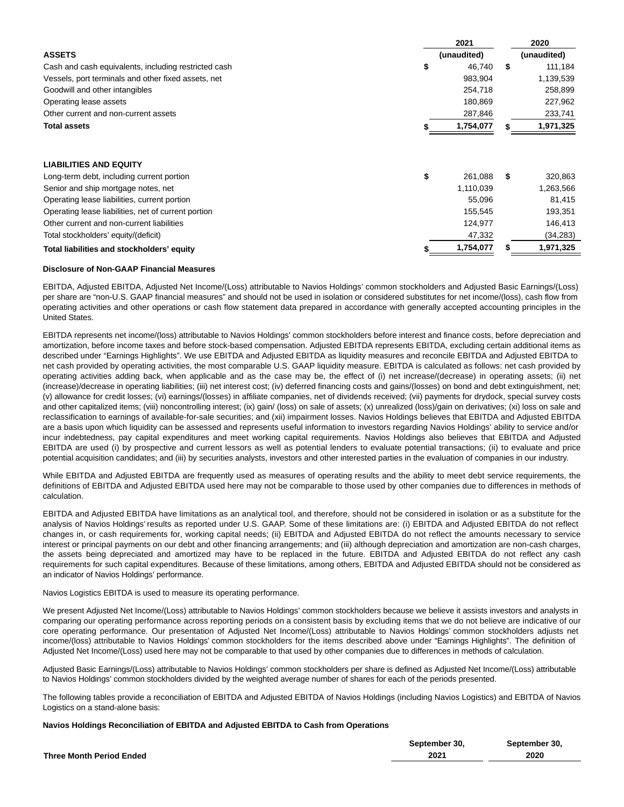|                                                      | 2021          | 2020          |
|------------------------------------------------------|---------------|---------------|
| <b>ASSETS</b>                                        | (unaudited)   | (unaudited)   |
| Cash and cash equivalents, including restricted cash | \$<br>46,740  | \$<br>111,184 |
| Vessels, port terminals and other fixed assets, net  | 983,904       | 1,139,539     |
| Goodwill and other intangibles                       | 254,718       | 258,899       |
| Operating lease assets                               | 180,869       | 227,962       |
| Other current and non-current assets                 | 287,846       | 233,741       |
| <b>Total assets</b>                                  | 1,754,077     | 1,971,325     |
| <b>LIABILITIES AND EQUITY</b>                        |               |               |
| Long-term debt, including current portion            | \$<br>261,088 | \$<br>320,863 |
| Senior and ship mortgage notes, net                  | 1,110,039     | 1,263,566     |
| Operating lease liabilities, current portion         | 55,096        | 81,415        |
| Operating lease liabilities, net of current portion  | 155,545       | 193,351       |
| Other current and non-current liabilities            | 124,977       | 146,413       |
| Total stockholders' equity/(deficit)                 | 47,332        | (34, 283)     |
| Total liabilities and stockholders' equity           | 1,754,077     | 1,971,325     |

### **Disclosure of Non-GAAP Financial Measures**

EBITDA, Adjusted EBITDA, Adjusted Net Income/(Loss) attributable to Navios Holdings' common stockholders and Adjusted Basic Earnings/(Loss) per share are "non-U.S. GAAP financial measures" and should not be used in isolation or considered substitutes for net income/(loss), cash flow from operating activities and other operations or cash flow statement data prepared in accordance with generally accepted accounting principles in the United States.

EBITDA represents net income/(loss) attributable to Navios Holdings' common stockholders before interest and finance costs, before depreciation and amortization, before income taxes and before stock-based compensation. Adjusted EBITDA represents EBITDA, excluding certain additional items as described under "Earnings Highlights". We use EBITDA and Adjusted EBITDA as liquidity measures and reconcile EBITDA and Adjusted EBITDA to net cash provided by operating activities, the most comparable U.S. GAAP liquidity measure. EBITDA is calculated as follows: net cash provided by operating activities adding back, when applicable and as the case may be, the effect of (i) net increase/(decrease) in operating assets; (ii) net (increase)/decrease in operating liabilities; (iii) net interest cost; (iv) deferred financing costs and gains/(losses) on bond and debt extinguishment, net; (v) allowance for credit losses; (vi) earnings/(losses) in affiliate companies, net of dividends received; (vii) payments for drydock, special survey costs and other capitalized items; (viii) noncontrolling interest; (ix) gain/ (loss) on sale of assets; (x) unrealized (loss)/gain on derivatives; (xi) loss on sale and reclassification to earnings of available-for-sale securities; and (xii) impairment losses. Navios Holdings believes that EBITDA and Adjusted EBITDA are a basis upon which liquidity can be assessed and represents useful information to investors regarding Navios Holdings' ability to service and/or incur indebtedness, pay capital expenditures and meet working capital requirements. Navios Holdings also believes that EBITDA and Adjusted EBITDA are used (i) by prospective and current lessors as well as potential lenders to evaluate potential transactions; (ii) to evaluate and price potential acquisition candidates; and (iii) by securities analysts, investors and other interested parties in the evaluation of companies in our industry.

While EBITDA and Adjusted EBITDA are frequently used as measures of operating results and the ability to meet debt service requirements, the definitions of EBITDA and Adjusted EBITDA used here may not be comparable to those used by other companies due to differences in methods of calculation.

EBITDA and Adjusted EBITDA have limitations as an analytical tool, and therefore, should not be considered in isolation or as a substitute for the analysis of Navios Holdings' results as reported under U.S. GAAP. Some of these limitations are: (i) EBITDA and Adjusted EBITDA do not reflect changes in, or cash requirements for, working capital needs; (ii) EBITDA and Adjusted EBITDA do not reflect the amounts necessary to service interest or principal payments on our debt and other financing arrangements; and (iii) although depreciation and amortization are non-cash charges, the assets being depreciated and amortized may have to be replaced in the future. EBITDA and Adjusted EBITDA do not reflect any cash requirements for such capital expenditures. Because of these limitations, among others, EBITDA and Adjusted EBITDA should not be considered as an indicator of Navios Holdings' performance.

#### Navios Logistics EBITDA is used to measure its operating performance.

We present Adjusted Net Income/(Loss) attributable to Navios Holdings' common stockholders because we believe it assists investors and analysts in comparing our operating performance across reporting periods on a consistent basis by excluding items that we do not believe are indicative of our core operating performance. Our presentation of Adjusted Net Income/(Loss) attributable to Navios Holdings' common stockholders adjusts net income/(loss) attributable to Navios Holdings' common stockholders for the items described above under "Earnings Highlights". The definition of Adjusted Net Income/(Loss) used here may not be comparable to that used by other companies due to differences in methods of calculation.

Adjusted Basic Earnings/(Loss) attributable to Navios Holdings' common stockholders per share is defined as Adjusted Net Income/(Loss) attributable to Navios Holdings' common stockholders divided by the weighted average number of shares for each of the periods presented.

The following tables provide a reconciliation of EBITDA and Adjusted EBITDA of Navios Holdings (including Navios Logistics) and EBITDA of Navios Logistics on a stand-alone basis:

#### **Navios Holdings Reconciliation of EBITDA and Adjusted EBITDA to Cash from Operations**

|                                 | September 30. | September 30, |
|---------------------------------|---------------|---------------|
| <b>Three Month Period Ended</b> | 2021          | 2020          |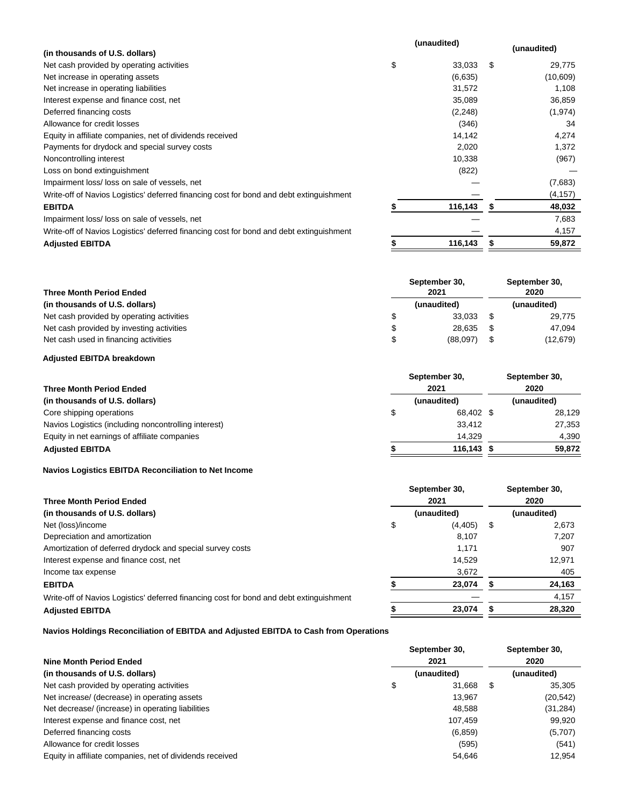|                                                                                         | (unaudited) |          |    | (unaudited) |  |
|-----------------------------------------------------------------------------------------|-------------|----------|----|-------------|--|
| (in thousands of U.S. dollars)                                                          |             |          |    |             |  |
| Net cash provided by operating activities                                               | \$          | 33,033   | S  | 29,775      |  |
| Net increase in operating assets                                                        |             | (6,635)  |    | (10,609)    |  |
| Net increase in operating liabilities                                                   |             | 31,572   |    | 1,108       |  |
| Interest expense and finance cost, net                                                  |             | 35,089   |    | 36,859      |  |
| Deferred financing costs                                                                |             | (2, 248) |    | (1, 974)    |  |
| Allowance for credit losses                                                             |             | (346)    |    | 34          |  |
| Equity in affiliate companies, net of dividends received                                |             | 14,142   |    | 4,274       |  |
| Payments for drydock and special survey costs                                           |             | 2,020    |    | 1,372       |  |
| Noncontrolling interest                                                                 |             | 10,338   |    | (967)       |  |
| Loss on bond extinguishment                                                             |             | (822)    |    |             |  |
| Impairment loss/loss on sale of vessels, net                                            |             |          |    | (7,683)     |  |
| Write-off of Navios Logistics' deferred financing cost for bond and debt extinguishment |             |          |    | (4, 157)    |  |
| <b>EBITDA</b>                                                                           |             | 116,143  | æ. | 48,032      |  |
| Impairment loss/loss on sale of vessels, net                                            |             |          |    | 7,683       |  |
| Write-off of Navios Logistics' deferred financing cost for bond and debt extinguishment |             |          |    | 4,157       |  |
| <b>Adjusted EBITDA</b>                                                                  |             | 116,143  |    | 59,872      |  |

| <b>Three Month Period Ended</b>           |  | September 30.<br>2021 |  | September 30.<br>2020 |  |  |
|-------------------------------------------|--|-----------------------|--|-----------------------|--|--|
| (in thousands of U.S. dollars)            |  | (unaudited)           |  | (unaudited)           |  |  |
| Net cash provided by operating activities |  | 33.033                |  | 29,775                |  |  |
| Net cash provided by investing activities |  | 28.635                |  | 47.094                |  |  |
| Net cash used in financing activities     |  | (88.097)              |  | (12, 679)             |  |  |

# **Adjusted EBITDA breakdown**

|                                                      |      | September 30, |  |             |  |  |
|------------------------------------------------------|------|---------------|--|-------------|--|--|
| <b>Three Month Period Ended</b>                      | 2021 |               |  | 2020        |  |  |
| (in thousands of U.S. dollars)                       |      | (unaudited)   |  | (unaudited) |  |  |
| Core shipping operations                             |      | 68.402 \$     |  | 28,129      |  |  |
| Navios Logistics (including noncontrolling interest) |      | 33.412        |  | 27,353      |  |  |
| Equity in net earnings of affiliate companies        |      | 14.329        |  | 4.390       |  |  |
| <b>Adjusted EBITDA</b>                               |      | 116.143 \$    |  | 59.872      |  |  |

## **Navios Logistics EBITDA Reconciliation to Net Income**

| <b>Three Month Period Ended</b>                                                         |    | September 30,<br>2021 |    | September 30,<br>2020 |  |
|-----------------------------------------------------------------------------------------|----|-----------------------|----|-----------------------|--|
| (in thousands of U.S. dollars)                                                          |    | (unaudited)           |    | (unaudited)           |  |
| Net (loss)/income                                                                       | \$ | (4, 405)              | \$ | 2,673                 |  |
| Depreciation and amortization                                                           |    | 8.107                 |    | 7.207                 |  |
| Amortization of deferred drydock and special survey costs                               |    | 1.171                 |    | 907                   |  |
| Interest expense and finance cost, net                                                  |    | 14.529                |    | 12.971                |  |
| Income tax expense                                                                      |    | 3,672                 |    | 405                   |  |
| <b>EBITDA</b>                                                                           |    | 23,074                |    | 24,163                |  |
| Write-off of Navios Logistics' deferred financing cost for bond and debt extinguishment |    |                       |    | 4,157                 |  |
| <b>Adjusted EBITDA</b>                                                                  |    | 23.074                |    | 28,320                |  |

## **Navios Holdings Reconciliation of EBITDA and Adjusted EBITDA to Cash from Operations**

|                                                          |      | September 30, |  | September 30, |
|----------------------------------------------------------|------|---------------|--|---------------|
| Nine Month Period Ended                                  | 2021 |               |  | 2020          |
| (in thousands of U.S. dollars)                           |      | (unaudited)   |  | (unaudited)   |
| Net cash provided by operating activities                | \$   | 31.668        |  | 35,305        |
| Net increase/ (decrease) in operating assets             |      | 13.967        |  | (20, 542)     |
| Net decrease/ (increase) in operating liabilities        |      | 48.588        |  | (31, 284)     |
| Interest expense and finance cost, net                   |      | 107.459       |  | 99,920        |
| Deferred financing costs                                 |      | (6, 859)      |  | (5,707)       |
| Allowance for credit losses                              |      | (595)         |  | (541)         |
| Equity in affiliate companies, net of dividends received |      | 54.646        |  | 12.954        |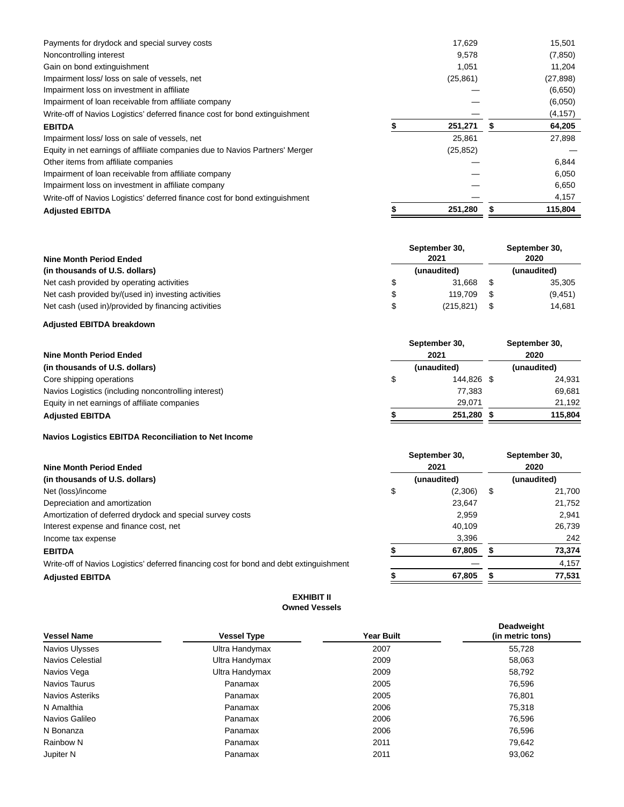| Payments for drydock and special survey costs                                | 17,629    | 15,501    |
|------------------------------------------------------------------------------|-----------|-----------|
| Noncontrolling interest                                                      | 9,578     | (7, 850)  |
| Gain on bond extinguishment                                                  | 1,051     | 11,204    |
| Impairment loss/loss on sale of vessels, net                                 | (25, 861) | (27, 898) |
| Impairment loss on investment in affiliate                                   |           | (6,650)   |
| Impairment of loan receivable from affiliate company                         |           | (6,050)   |
| Write-off of Navios Logistics' deferred finance cost for bond extinguishment |           | (4, 157)  |
| <b>EBITDA</b>                                                                | 251,271   | 64,205    |
| Impairment loss/loss on sale of vessels, net                                 | 25,861    | 27,898    |
| Equity in net earnings of affiliate companies due to Navios Partners' Merger | (25, 852) |           |
| Other items from affiliate companies                                         |           | 6,844     |
| Impairment of loan receivable from affiliate company                         |           | 6,050     |
| Impairment loss on investment in affiliate company                           |           | 6,650     |
| Write-off of Navios Logistics' deferred finance cost for bond extinguishment |           | 4,157     |
| <b>Adjusted EBITDA</b>                                                       | 251,280   | 115,804   |

|             | 2021       | September 30,<br>2020 |          |
|-------------|------------|-----------------------|----------|
| (unaudited) |            | (unaudited)           |          |
|             | 31.668     |                       | 35,305   |
|             | 119.709    |                       | (9, 451) |
|             | (215, 821) | \$.                   | 14.681   |
|             |            | September 30,         |          |

## **Adjusted EBITDA breakdown**

|                                                      | September 30, |  | September 30, |  |
|------------------------------------------------------|---------------|--|---------------|--|
| <b>Nine Month Period Ended</b>                       | 2021          |  | 2020          |  |
| (in thousands of U.S. dollars)                       | (unaudited)   |  | (unaudited)   |  |
| Core shipping operations                             | 144.826 \$    |  | 24.931        |  |
| Navios Logistics (including noncontrolling interest) | 77.383        |  | 69,681        |  |
| Equity in net earnings of affiliate companies        | 29.071        |  | 21.192        |  |
| <b>Adjusted EBITDA</b>                               | 251.280       |  | 115.804       |  |

# **Navios Logistics EBITDA Reconciliation to Net Income**

| <b>Nine Month Period Ended</b>                                                          |    | September 30,<br>2021 |    | September 30,<br>2020 |
|-----------------------------------------------------------------------------------------|----|-----------------------|----|-----------------------|
| (in thousands of U.S. dollars)                                                          |    | (unaudited)           |    | (unaudited)           |
| Net (loss)/income                                                                       | \$ | (2,306)               | \$ | 21,700                |
| Depreciation and amortization                                                           |    | 23,647                |    | 21,752                |
| Amortization of deferred drydock and special survey costs                               |    | 2.959                 |    | 2,941                 |
| Interest expense and finance cost, net                                                  |    | 40.109                |    | 26,739                |
| Income tax expense                                                                      |    | 3,396                 |    | 242                   |
| <b>EBITDA</b>                                                                           |    | 67,805                |    | 73,374                |
| Write-off of Navios Logistics' deferred financing cost for bond and debt extinguishment |    |                       |    | 4,157                 |
| <b>Adjusted EBITDA</b>                                                                  |    | 67.805                |    | 77,531                |

## **EXHIBIT II Owned Vessels**

| <b>Vessel Name</b> | <b>Vessel Type</b> | <b>Year Built</b> | Deadweight<br>(in metric tons) |
|--------------------|--------------------|-------------------|--------------------------------|
| Navios Ulysses     | Ultra Handymax     | 2007              | 55,728                         |
| Navios Celestial   | Ultra Handymax     | 2009              | 58,063                         |
| Navios Vega        | Ultra Handymax     | 2009              | 58,792                         |
| Navios Taurus      | Panamax            | 2005              | 76.596                         |
| Navios Asteriks    | Panamax            | 2005              | 76,801                         |
| N Amalthia         | Panamax            | 2006              | 75,318                         |
| Navios Galileo     | Panamax            | 2006              | 76,596                         |
| N Bonanza          | Panamax            | 2006              | 76,596                         |
| Rainbow N          | Panamax            | 2011              | 79.642                         |
| Jupiter N          | Panamax            | 2011              | 93,062                         |